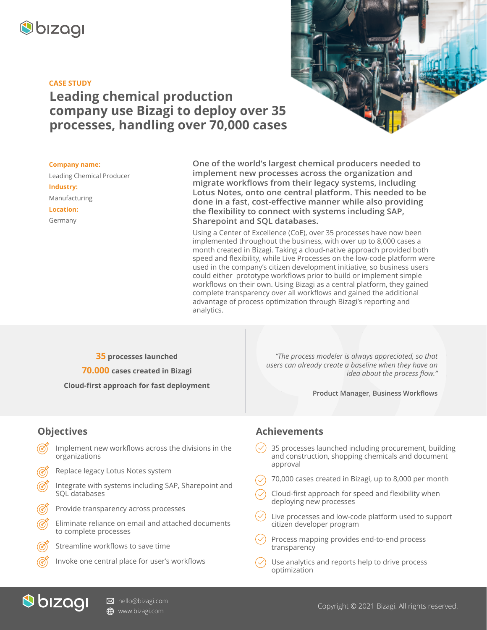

#### **CASE STUDY**

# **Leading chemical production company use Bizagi to deploy over 35 processes, handling over 70,000 cases**

**Company name:** Leading Chemical Producer **Industry:** Manufacturing **Location:**

Germany

**One of the world's largest chemical producers needed to implement new processes across the organization and migrate workflows from their legacy systems, including Lotus Notes, onto one central platform. This needed to be done in a fast, cost-effective manner while also providing the flexibility to connect with systems including SAP, Sharepoint and SQL databases.** 

Using a Center of Excellence (CoE), over 35 processes have now been implemented throughout the business, with over up to 8,000 cases a month created in Bizagi. Taking a cloud-native approach provided both speed and flexibility, while Live Processes on the low-code platform were used in the company's citizen development initiative, so business users could either prototype workflows prior to build or implement simple workflows on their own. Using Bizagi as a central platform, they gained complete transparency over all workflows and gained the additional advantage of process optimization through Bizagi's reporting and analytics.

**35 processes launched**

**70.000 cases created in Bizagi**

**Cloud-first approach for fast deployment**

*"The process modeler is always appreciated, so that users can already create a baseline when they have an idea about the process flow."*

**Product Manager, Business Workflows**

### **Objectives**

- Implement new workflows across the divisions in the organizations
- Replace legacy Lotus Notes system
- Integrate with systems including SAP, Sharepoint and SQL databases
- Provide transparency across processes
- Eliminate reliance on email and attached documents to complete processes
- Streamline workflows to save time
	- Invoke one central place for user's workflows

#### **Achievements**

- 35 processes launched including procurement, building and construction, shopping chemicals and document approval
- 70,000 cases created in Bizagi, up to 8,000 per month
- Cloud-first approach for speed and flexibility when deploying new processes
- Live processes and low-code platform used to support citizen developer program
- Process mapping provides end-to-end process transparency
- Use analytics and reports help to drive process optimization



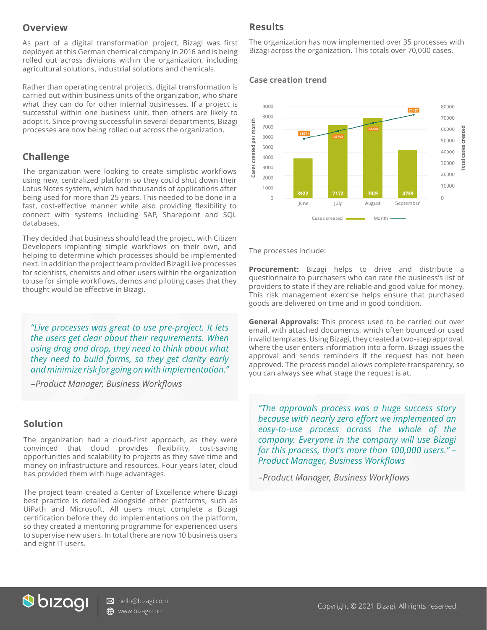#### **Overview**

As part of a digital transformation project, Bizagi was first deployed at this German chemical company in 2016 and is being rolled out across divisions within the organization, including agricultural solutions, industrial solutions and chemicals.

Rather than operating central projects, digital transformation is carried out within business units of the organization, who share what they can do for other internal businesses. If a project is successful within one business unit, then others are likely to adopt it. Since proving successful in several departments, Bizagi processes are now being rolled out across the organization.

### **Challenge**

The organization were looking to create simplistic workflows using new, centralized platform so they could shut down their Lotus Notes system, which had thousands of applications after being used for more than 25 years. This needed to be done in a fast, cost-effective manner while also providing flexibility to connect with systems including SAP, Sharepoint and SQL databases.

They decided that business should lead the project, with Citizen Developers implanting simple workflows on their own, and helping to determine which processes should be implemented next. In addition the project team provided Bizagi Live processes for scientists, chemists and other users within the organization to use for simple workflows, demos and piloting cases that they thought would be effective in Bizagi.

*"Live processes was great to use pre-project. It lets the users get clear about their requirements. When using drag and drop, they need to think about what they need to build forms, so they get clarity early and minimize risk for going on with implementation."* 

*–Product Manager, Business Workflows*

#### **Solution**

The organization had a cloud-first approach, as they were convinced that cloud provides flexibility, cost-saving opportunities and scalability to projects as they save time and money on infrastructure and resources. Four years later, cloud has provided them with huge advantages.

The project team created a Center of Excellence where Bizagi best practice is detailed alongside other platforms, such as UiPath and Microsoft. All users must complete a Bizagi certification before they do implementations on the platform, so they created a mentoring programme for experienced users to supervise new users. In total there are now 10 business users and eight IT users.

#### **Results**

The organization has now implemented over 35 processes with Bizagi across the organization. This totals over 70,000 cases.

#### **Case creation trend**



The processes include:

**Procurement:** Bizagi helps to drive and distribute a questionnaire to purchasers who can rate the business's list of providers to state if they are reliable and good value for money. This risk management exercise helps ensure that purchased goods are delivered on time and in good condition.

**General Approvals:** This process used to be carried out over email, with attached documents, which often bounced or used invalid templates. Using Bizagi, they created a two-step approval, where the user enters information into a form. Bizagi issues the approval and sends reminders if the request has not been approved. The process model allows complete transparency, so you can always see what stage the request is at.

*"The approvals process was a huge success story because with nearly zero effort we implemented an easy-to-use process across the whole of the company. Everyone in the company will use Bizagi for this process, that's more than 100,000 users." – Product Manager, Business Workflows*

*–Product Manager, Business Workflows*